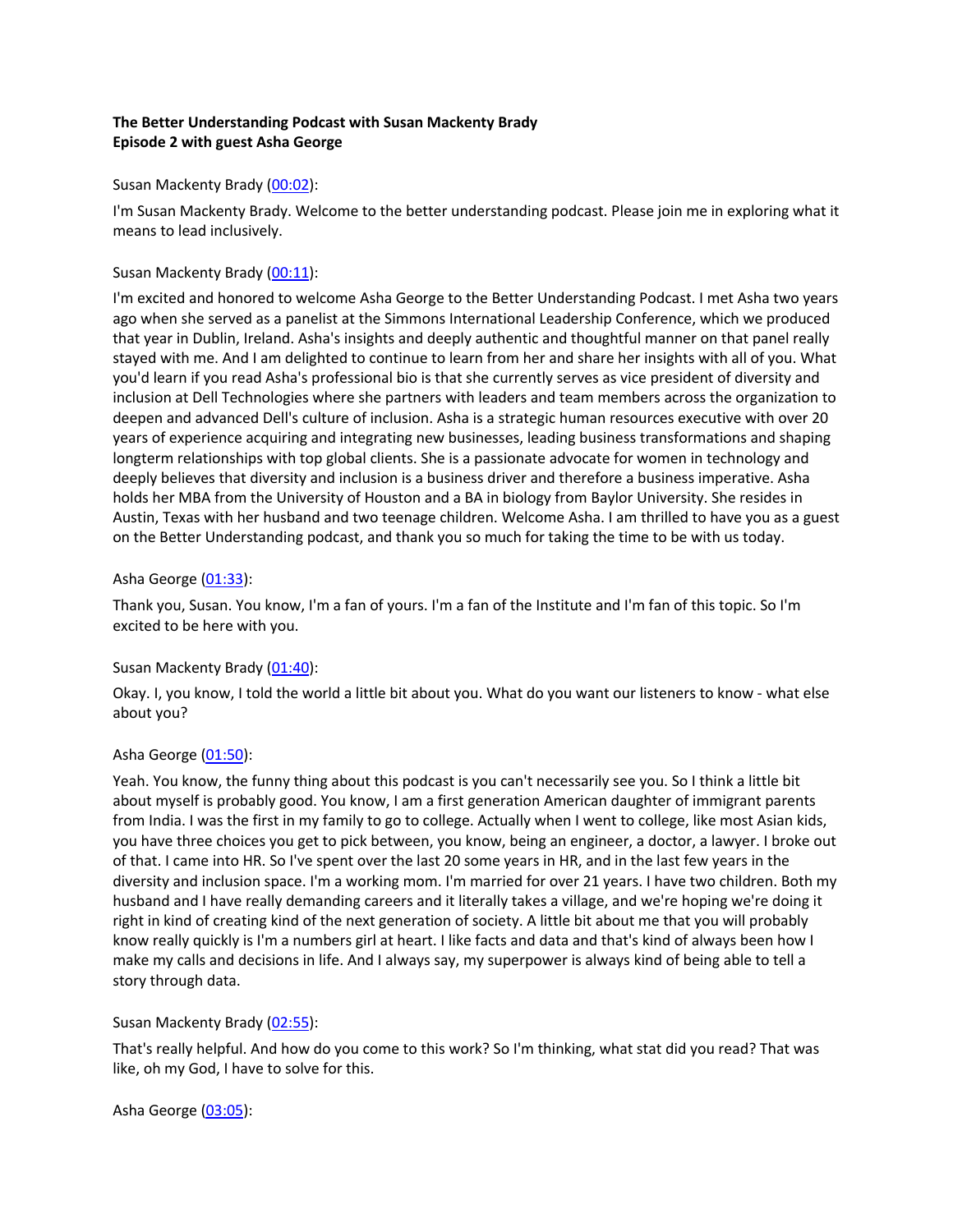# **The Better Understanding Podcast with Susan Mackenty Brady Episode 2 with guest Asha George**

## Susan Mackenty Brady (00:02):

I'm Susan Mackenty Brady. Welcome to the better understanding podcast. Please join me in exploring what it means to lead inclusively.

# Susan Mackenty Brady (00:11):

I'm excited and honored to welcome Asha George to the Better Understanding Podcast. I met Asha two years ago when she served as a panelist at the Simmons International Leadership Conference, which we produced that year in Dublin, Ireland. Asha's insights and deeply authentic and thoughtful manner on that panel really stayed with me. And I am delighted to continue to learn from her and share her insights with all of you. What you'd learn if you read Asha's professional bio is that she currently serves as vice president of diversity and inclusion at Dell Technologies where she partners with leaders and team members across the organization to deepen and advanced Dell's culture of inclusion. Asha is a strategic human resources executive with over 20 years of experience acquiring and integrating new businesses, leading business transformations and shaping longterm relationships with top global clients. She is a passionate advocate for women in technology and deeply believes that diversity and inclusion is a business driver and therefore a business imperative. Asha holds her MBA from the University of Houston and a BA in biology from Baylor University. She resides in Austin, Texas with her husband and two teenage children. Welcome Asha. I am thrilled to have you as a guest on the Better Understanding podcast, and thank you so much for taking the time to be with us today.

## Asha George (01:33):

Thank you, Susan. You know, I'm a fan of yours. I'm a fan of the Institute and I'm fan of this topic. So I'm excited to be here with you.

#### Susan Mackenty Brady (01:40):

Okay. I, you know, I told the world a little bit about you. What do you want our listeners to know - what else about you?

#### Asha George (01:50):

Yeah. You know, the funny thing about this podcast is you can't necessarily see you. So I think a little bit about myself is probably good. You know, I am a first generation American daughter of immigrant parents from India. I was the first in my family to go to college. Actually when I went to college, like most Asian kids, you have three choices you get to pick between, you know, being an engineer, a doctor, a lawyer. I broke out of that. I came into HR. So I've spent over the last 20 some years in HR, and in the last few years in the diversity and inclusion space. I'm a working mom. I'm married for over 21 years. I have two children. Both my husband and I have really demanding careers and it literally takes a village, and we're hoping we're doing it right in kind of creating kind of the next generation of society. A little bit about me that you will probably know really quickly is I'm a numbers girl at heart. I like facts and data and that's kind of always been how I make my calls and decisions in life. And I always say, my superpower is always kind of being able to tell a story through data.

#### Susan Mackenty Brady (02:55):

That's really helpful. And how do you come to this work? So I'm thinking, what stat did you read? That was like, oh my God, I have to solve for this.

Asha George (03:05):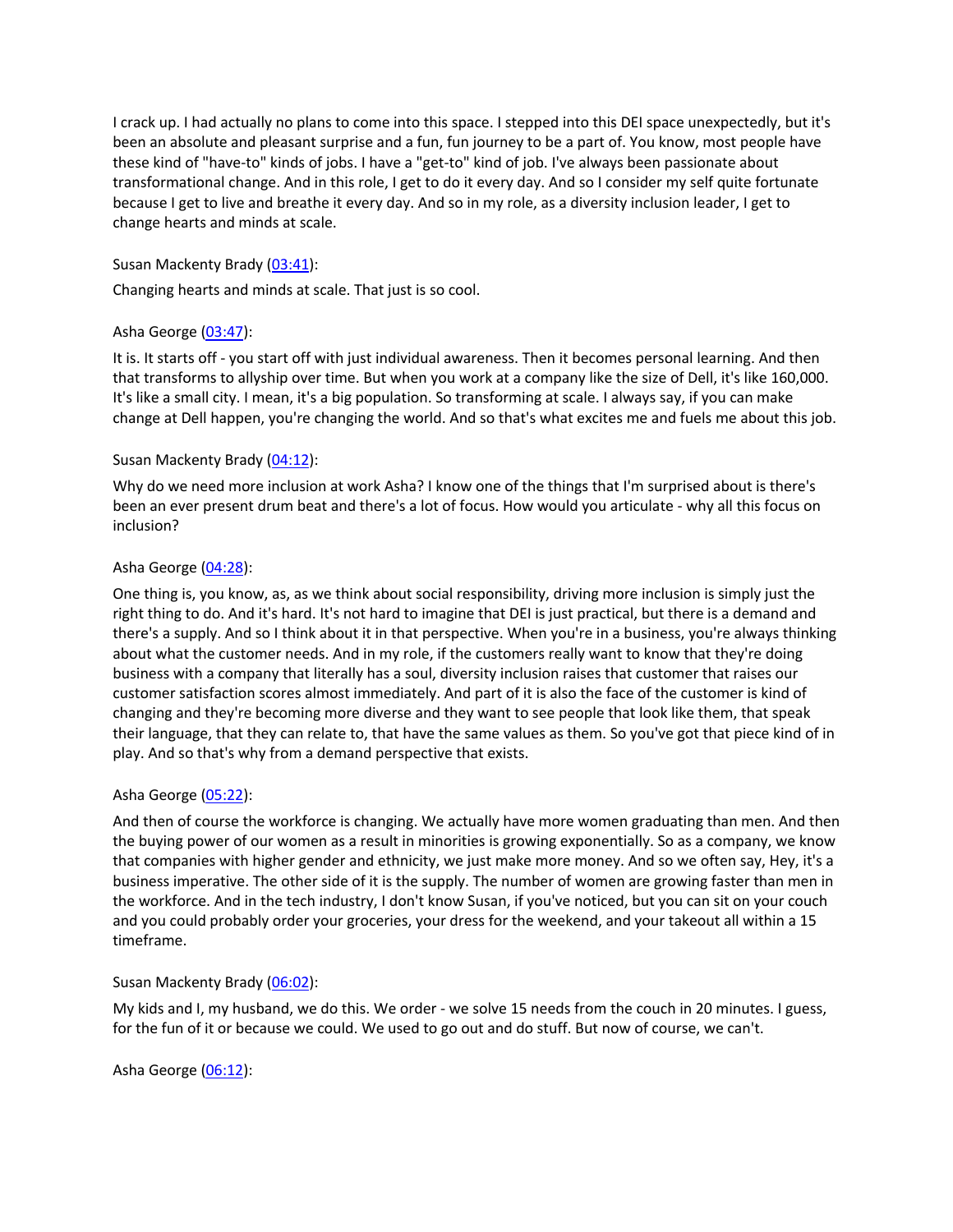I crack up. I had actually no plans to come into this space. I stepped into this DEI space unexpectedly, but it's been an absolute and pleasant surprise and a fun, fun journey to be a part of. You know, most people have these kind of "have-to" kinds of jobs. I have a "get-to" kind of job. I've always been passionate about transformational change. And in this role, I get to do it every day. And so I consider my self quite fortunate because I get to live and breathe it every day. And so in my role, as a diversity inclusion leader, I get to change hearts and minds at scale.

## Susan Mackenty Brady (03:41):

Changing hearts and minds at scale. That just is so cool.

# Asha George (03:47):

It is. It starts off - you start off with just individual awareness. Then it becomes personal learning. And then that transforms to allyship over time. But when you work at a company like the size of Dell, it's like 160,000. It's like a small city. I mean, it's a big population. So transforming at scale. I always say, if you can make change at Dell happen, you're changing the world. And so that's what excites me and fuels me about this job.

## Susan Mackenty Brady (04:12):

Why do we need more inclusion at work Asha? I know one of the things that I'm surprised about is there's been an ever present drum beat and there's a lot of focus. How would you articulate - why all this focus on inclusion?

## Asha George (04:28):

One thing is, you know, as, as we think about social responsibility, driving more inclusion is simply just the right thing to do. And it's hard. It's not hard to imagine that DEI is just practical, but there is a demand and there's a supply. And so I think about it in that perspective. When you're in a business, you're always thinking about what the customer needs. And in my role, if the customers really want to know that they're doing business with a company that literally has a soul, diversity inclusion raises that customer that raises our customer satisfaction scores almost immediately. And part of it is also the face of the customer is kind of changing and they're becoming more diverse and they want to see people that look like them, that speak their language, that they can relate to, that have the same values as them. So you've got that piece kind of in play. And so that's why from a demand perspective that exists.

#### Asha George (05:22):

And then of course the workforce is changing. We actually have more women graduating than men. And then the buying power of our women as a result in minorities is growing exponentially. So as a company, we know that companies with higher gender and ethnicity, we just make more money. And so we often say, Hey, it's a business imperative. The other side of it is the supply. The number of women are growing faster than men in the workforce. And in the tech industry, I don't know Susan, if you've noticed, but you can sit on your couch and you could probably order your groceries, your dress for the weekend, and your takeout all within a 15 timeframe.

#### Susan Mackenty Brady (06:02):

My kids and I, my husband, we do this. We order - we solve 15 needs from the couch in 20 minutes. I guess, for the fun of it or because we could. We used to go out and do stuff. But now of course, we can't.

#### Asha George (06:12):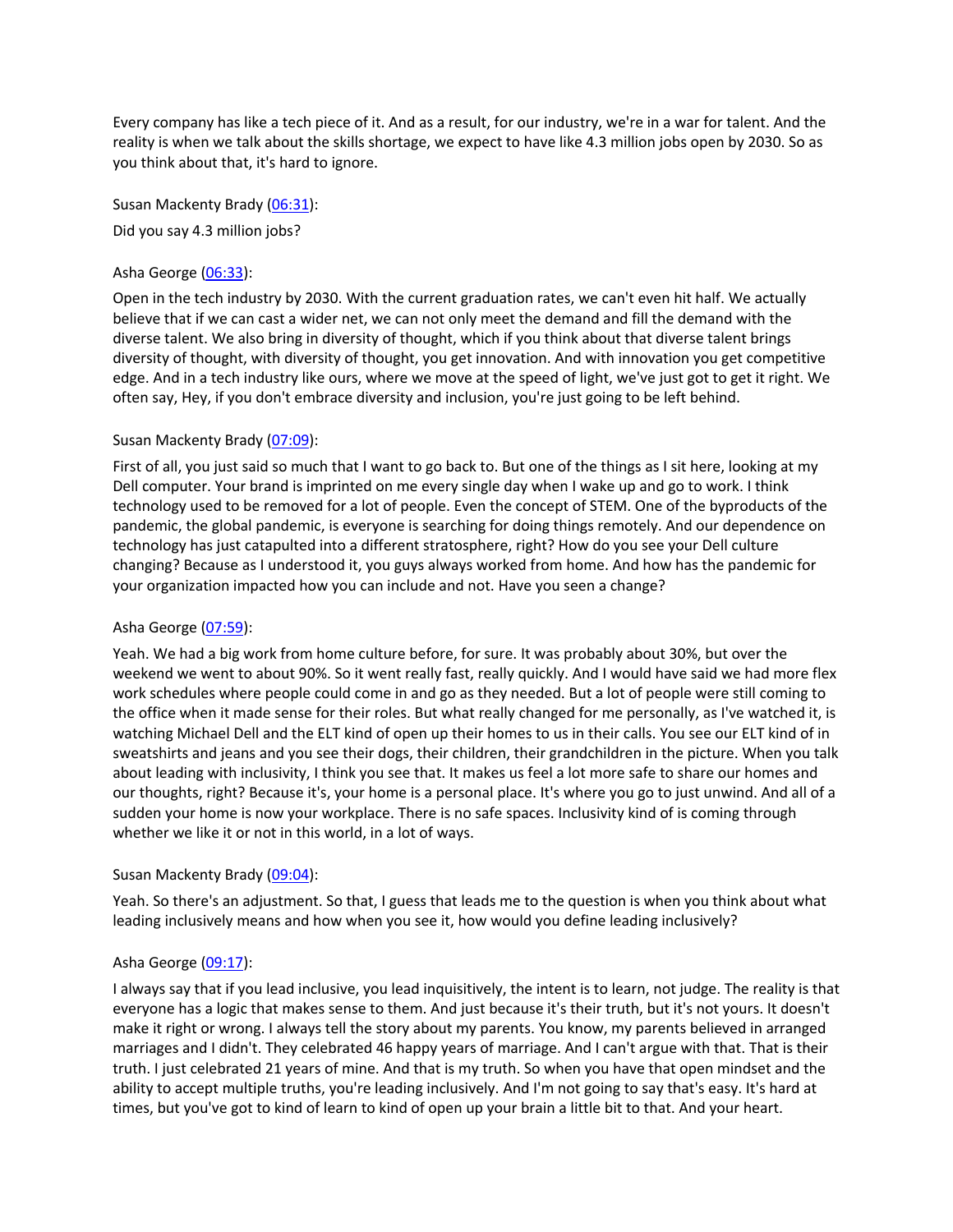Every company has like a tech piece of it. And as a result, for our industry, we're in a war for talent. And the reality is when we talk about the skills shortage, we expect to have like 4.3 million jobs open by 2030. So as you think about that, it's hard to ignore.

Susan Mackenty Brady (06:31): Did you say 4.3 million jobs?

## Asha George (06:33):

Open in the tech industry by 2030. With the current graduation rates, we can't even hit half. We actually believe that if we can cast a wider net, we can not only meet the demand and fill the demand with the diverse talent. We also bring in diversity of thought, which if you think about that diverse talent brings diversity of thought, with diversity of thought, you get innovation. And with innovation you get competitive edge. And in a tech industry like ours, where we move at the speed of light, we've just got to get it right. We often say, Hey, if you don't embrace diversity and inclusion, you're just going to be left behind.

## Susan Mackenty Brady (07:09):

First of all, you just said so much that I want to go back to. But one of the things as I sit here, looking at my Dell computer. Your brand is imprinted on me every single day when I wake up and go to work. I think technology used to be removed for a lot of people. Even the concept of STEM. One of the byproducts of the pandemic, the global pandemic, is everyone is searching for doing things remotely. And our dependence on technology has just catapulted into a different stratosphere, right? How do you see your Dell culture changing? Because as I understood it, you guys always worked from home. And how has the pandemic for your organization impacted how you can include and not. Have you seen a change?

# Asha George (07:59):

Yeah. We had a big work from home culture before, for sure. It was probably about 30%, but over the weekend we went to about 90%. So it went really fast, really quickly. And I would have said we had more flex work schedules where people could come in and go as they needed. But a lot of people were still coming to the office when it made sense for their roles. But what really changed for me personally, as I've watched it, is watching Michael Dell and the ELT kind of open up their homes to us in their calls. You see our ELT kind of in sweatshirts and jeans and you see their dogs, their children, their grandchildren in the picture. When you talk about leading with inclusivity, I think you see that. It makes us feel a lot more safe to share our homes and our thoughts, right? Because it's, your home is a personal place. It's where you go to just unwind. And all of a sudden your home is now your workplace. There is no safe spaces. Inclusivity kind of is coming through whether we like it or not in this world, in a lot of ways.

#### Susan Mackenty Brady (09:04):

Yeah. So there's an adjustment. So that, I guess that leads me to the question is when you think about what leading inclusively means and how when you see it, how would you define leading inclusively?

#### Asha George (09:17):

I always say that if you lead inclusive, you lead inquisitively, the intent is to learn, not judge. The reality is that everyone has a logic that makes sense to them. And just because it's their truth, but it's not yours. It doesn't make it right or wrong. I always tell the story about my parents. You know, my parents believed in arranged marriages and I didn't. They celebrated 46 happy years of marriage. And I can't argue with that. That is their truth. I just celebrated 21 years of mine. And that is my truth. So when you have that open mindset and the ability to accept multiple truths, you're leading inclusively. And I'm not going to say that's easy. It's hard at times, but you've got to kind of learn to kind of open up your brain a little bit to that. And your heart.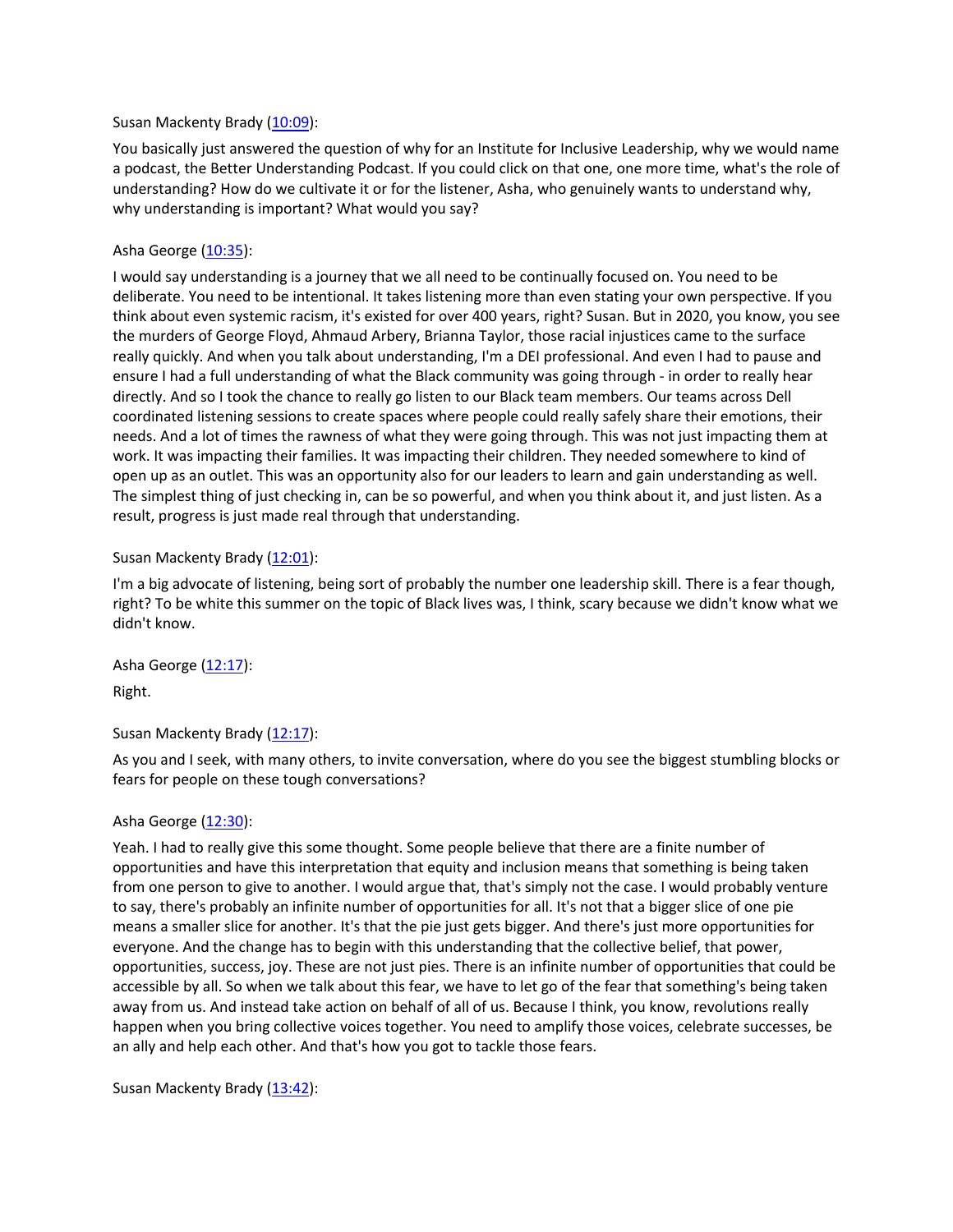#### Susan Mackenty Brady (10:09):

You basically just answered the question of why for an Institute for Inclusive Leadership, why we would name a podcast, the Better Understanding Podcast. If you could click on that one, one more time, what's the role of understanding? How do we cultivate it or for the listener, Asha, who genuinely wants to understand why, why understanding is important? What would you say?

#### Asha George (10:35):

I would say understanding is a journey that we all need to be continually focused on. You need to be deliberate. You need to be intentional. It takes listening more than even stating your own perspective. If you think about even systemic racism, it's existed for over 400 years, right? Susan. But in 2020, you know, you see the murders of George Floyd, Ahmaud Arbery, Brianna Taylor, those racial injustices came to the surface really quickly. And when you talk about understanding, I'm a DEI professional. And even I had to pause and ensure I had a full understanding of what the Black community was going through - in order to really hear directly. And so I took the chance to really go listen to our Black team members. Our teams across Dell coordinated listening sessions to create spaces where people could really safely share their emotions, their needs. And a lot of times the rawness of what they were going through. This was not just impacting them at work. It was impacting their families. It was impacting their children. They needed somewhere to kind of open up as an outlet. This was an opportunity also for our leaders to learn and gain understanding as well. The simplest thing of just checking in, can be so powerful, and when you think about it, and just listen. As a result, progress is just made real through that understanding.

#### Susan Mackenty Brady (12:01):

I'm a big advocate of listening, being sort of probably the number one leadership skill. There is a fear though, right? To be white this summer on the topic of Black lives was, I think, scary because we didn't know what we didn't know.

Asha George (12:17): Right.

#### Susan Mackenty Brady (12:17):

As you and I seek, with many others, to invite conversation, where do you see the biggest stumbling blocks or fears for people on these tough conversations?

#### Asha George (12:30):

Yeah. I had to really give this some thought. Some people believe that there are a finite number of opportunities and have this interpretation that equity and inclusion means that something is being taken from one person to give to another. I would argue that, that's simply not the case. I would probably venture to say, there's probably an infinite number of opportunities for all. It's not that a bigger slice of one pie means a smaller slice for another. It's that the pie just gets bigger. And there's just more opportunities for everyone. And the change has to begin with this understanding that the collective belief, that power, opportunities, success, joy. These are not just pies. There is an infinite number of opportunities that could be accessible by all. So when we talk about this fear, we have to let go of the fear that something's being taken away from us. And instead take action on behalf of all of us. Because I think, you know, revolutions really happen when you bring collective voices together. You need to amplify those voices, celebrate successes, be an ally and help each other. And that's how you got to tackle those fears.

Susan Mackenty Brady (13:42):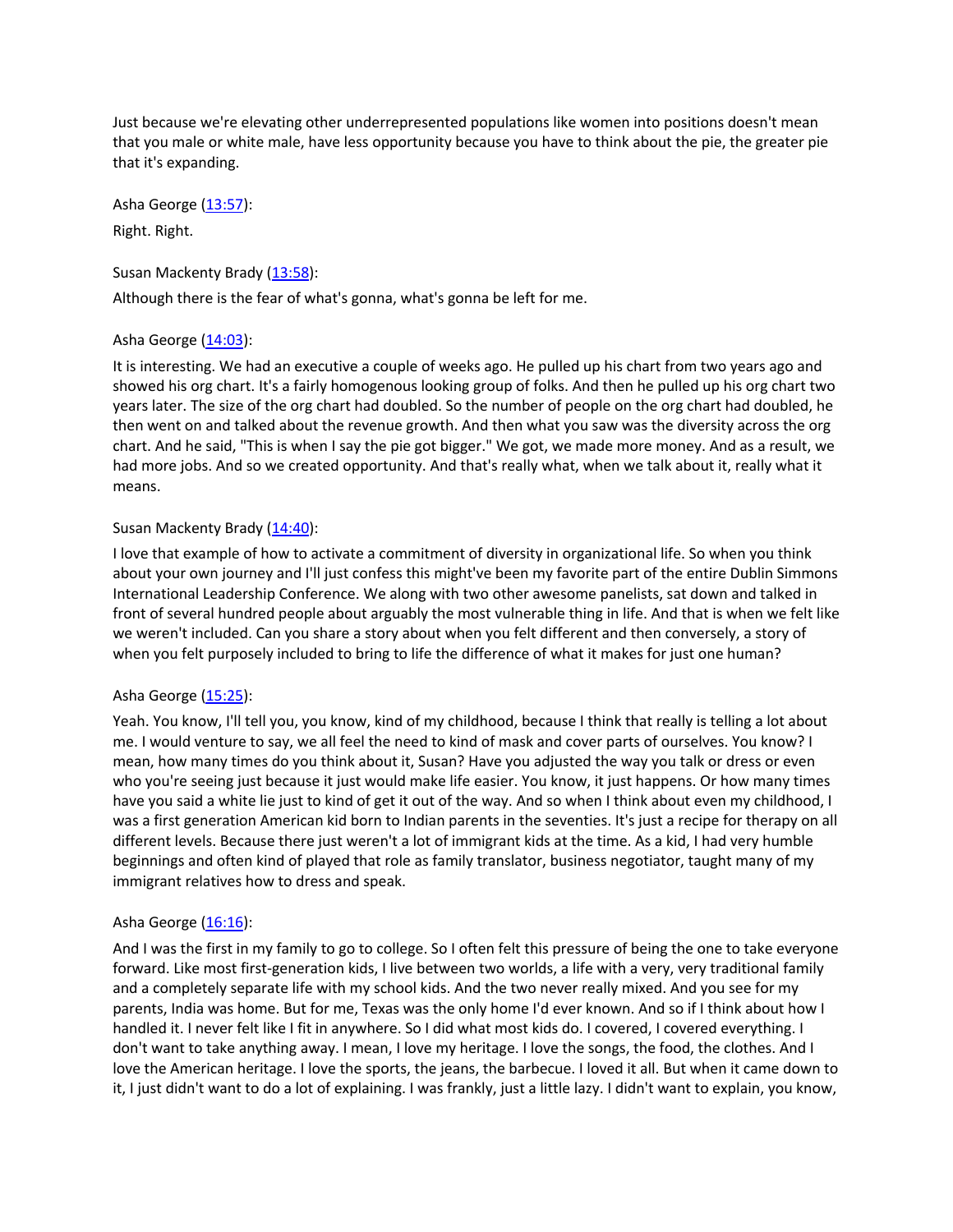Just because we're elevating other underrepresented populations like women into positions doesn't mean that you male or white male, have less opportunity because you have to think about the pie, the greater pie that it's expanding.

Asha George  $(13:57)$ :

Right. Right.

Susan Mackenty Brady (13:58):

Although there is the fear of what's gonna, what's gonna be left for me.

## Asha George (14:03):

It is interesting. We had an executive a couple of weeks ago. He pulled up his chart from two years ago and showed his org chart. It's a fairly homogenous looking group of folks. And then he pulled up his org chart two years later. The size of the org chart had doubled. So the number of people on the org chart had doubled, he then went on and talked about the revenue growth. And then what you saw was the diversity across the org chart. And he said, "This is when I say the pie got bigger." We got, we made more money. And as a result, we had more jobs. And so we created opportunity. And that's really what, when we talk about it, really what it means.

## Susan Mackenty Brady (14:40):

I love that example of how to activate a commitment of diversity in organizational life. So when you think about your own journey and I'll just confess this might've been my favorite part of the entire Dublin Simmons International Leadership Conference. We along with two other awesome panelists, sat down and talked in front of several hundred people about arguably the most vulnerable thing in life. And that is when we felt like we weren't included. Can you share a story about when you felt different and then conversely, a story of when you felt purposely included to bring to life the difference of what it makes for just one human?

#### Asha George (15:25):

Yeah. You know, I'll tell you, you know, kind of my childhood, because I think that really is telling a lot about me. I would venture to say, we all feel the need to kind of mask and cover parts of ourselves. You know? I mean, how many times do you think about it, Susan? Have you adjusted the way you talk or dress or even who you're seeing just because it just would make life easier. You know, it just happens. Or how many times have you said a white lie just to kind of get it out of the way. And so when I think about even my childhood, I was a first generation American kid born to Indian parents in the seventies. It's just a recipe for therapy on all different levels. Because there just weren't a lot of immigrant kids at the time. As a kid, I had very humble beginnings and often kind of played that role as family translator, business negotiator, taught many of my immigrant relatives how to dress and speak.

# Asha George (16:16):

And I was the first in my family to go to college. So I often felt this pressure of being the one to take everyone forward. Like most first-generation kids, I live between two worlds, a life with a very, very traditional family and a completely separate life with my school kids. And the two never really mixed. And you see for my parents, India was home. But for me, Texas was the only home I'd ever known. And so if I think about how I handled it. I never felt like I fit in anywhere. So I did what most kids do. I covered, I covered everything. I don't want to take anything away. I mean, I love my heritage. I love the songs, the food, the clothes. And I love the American heritage. I love the sports, the jeans, the barbecue. I loved it all. But when it came down to it, I just didn't want to do a lot of explaining. I was frankly, just a little lazy. I didn't want to explain, you know,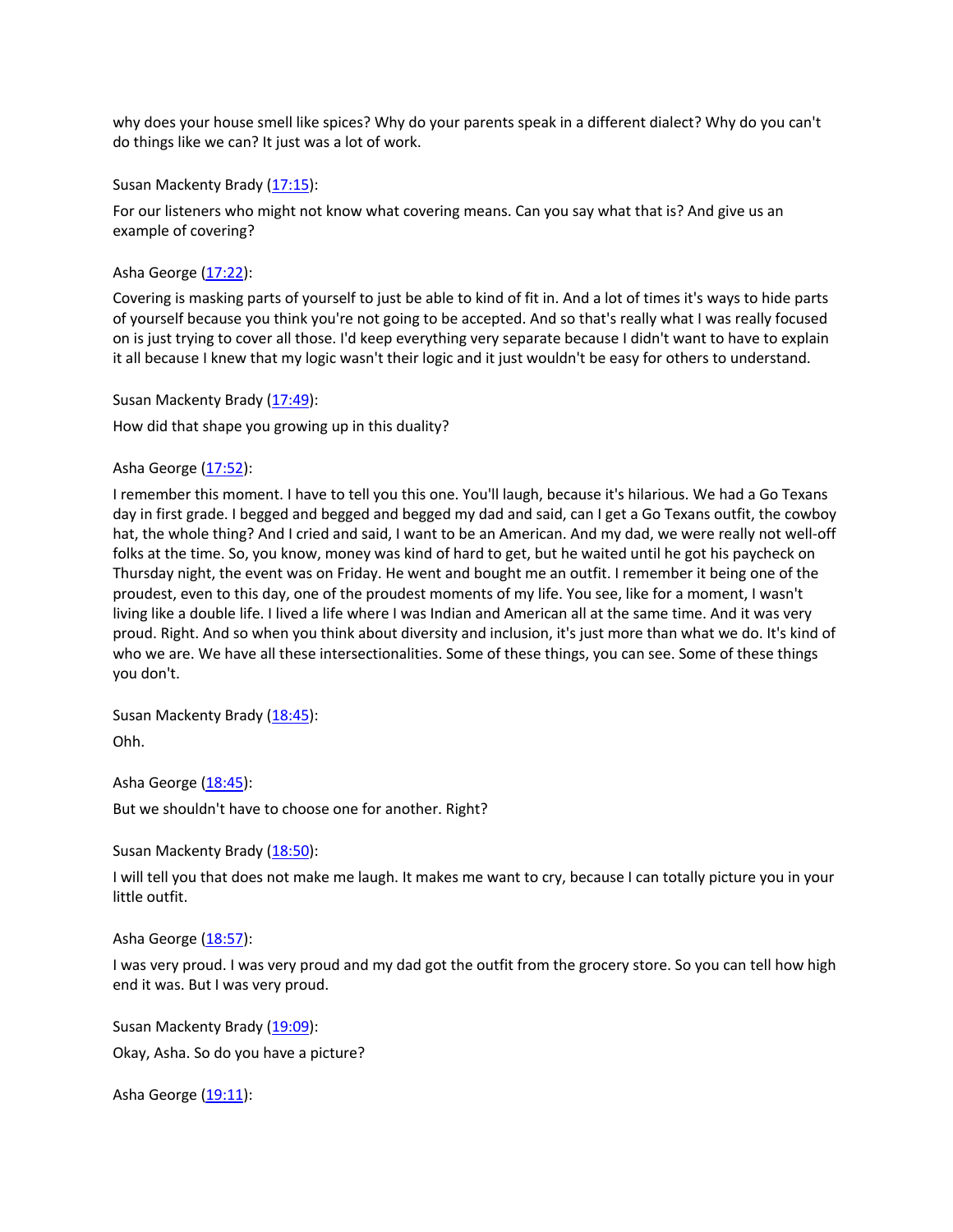why does your house smell like spices? Why do your parents speak in a different dialect? Why do you can't do things like we can? It just was a lot of work.

Susan Mackenty Brady (17:15):

For our listeners who might not know what covering means. Can you say what that is? And give us an example of covering?

Asha George (17:22):

Covering is masking parts of yourself to just be able to kind of fit in. And a lot of times it's ways to hide parts of yourself because you think you're not going to be accepted. And so that's really what I was really focused on is just trying to cover all those. I'd keep everything very separate because I didn't want to have to explain it all because I knew that my logic wasn't their logic and it just wouldn't be easy for others to understand.

Susan Mackenty Brady (17:49):

How did that shape you growing up in this duality?

Asha George (17:52):

I remember this moment. I have to tell you this one. You'll laugh, because it's hilarious. We had a Go Texans day in first grade. I begged and begged and begged my dad and said, can I get a Go Texans outfit, the cowboy hat, the whole thing? And I cried and said, I want to be an American. And my dad, we were really not well-off folks at the time. So, you know, money was kind of hard to get, but he waited until he got his paycheck on Thursday night, the event was on Friday. He went and bought me an outfit. I remember it being one of the proudest, even to this day, one of the proudest moments of my life. You see, like for a moment, I wasn't living like a double life. I lived a life where I was Indian and American all at the same time. And it was very proud. Right. And so when you think about diversity and inclusion, it's just more than what we do. It's kind of who we are. We have all these intersectionalities. Some of these things, you can see. Some of these things you don't.

Susan Mackenty Brady (18:45): Ohh.

Asha George (18:45): But we shouldn't have to choose one for another. Right?

Susan Mackenty Brady (18:50):

I will tell you that does not make me laugh. It makes me want to cry, because I can totally picture you in your little outfit.

Asha George (18:57):

I was very proud. I was very proud and my dad got the outfit from the grocery store. So you can tell how high end it was. But I was very proud.

Susan Mackenty Brady (19:09): Okay, Asha. So do you have a picture?

Asha George (19:11):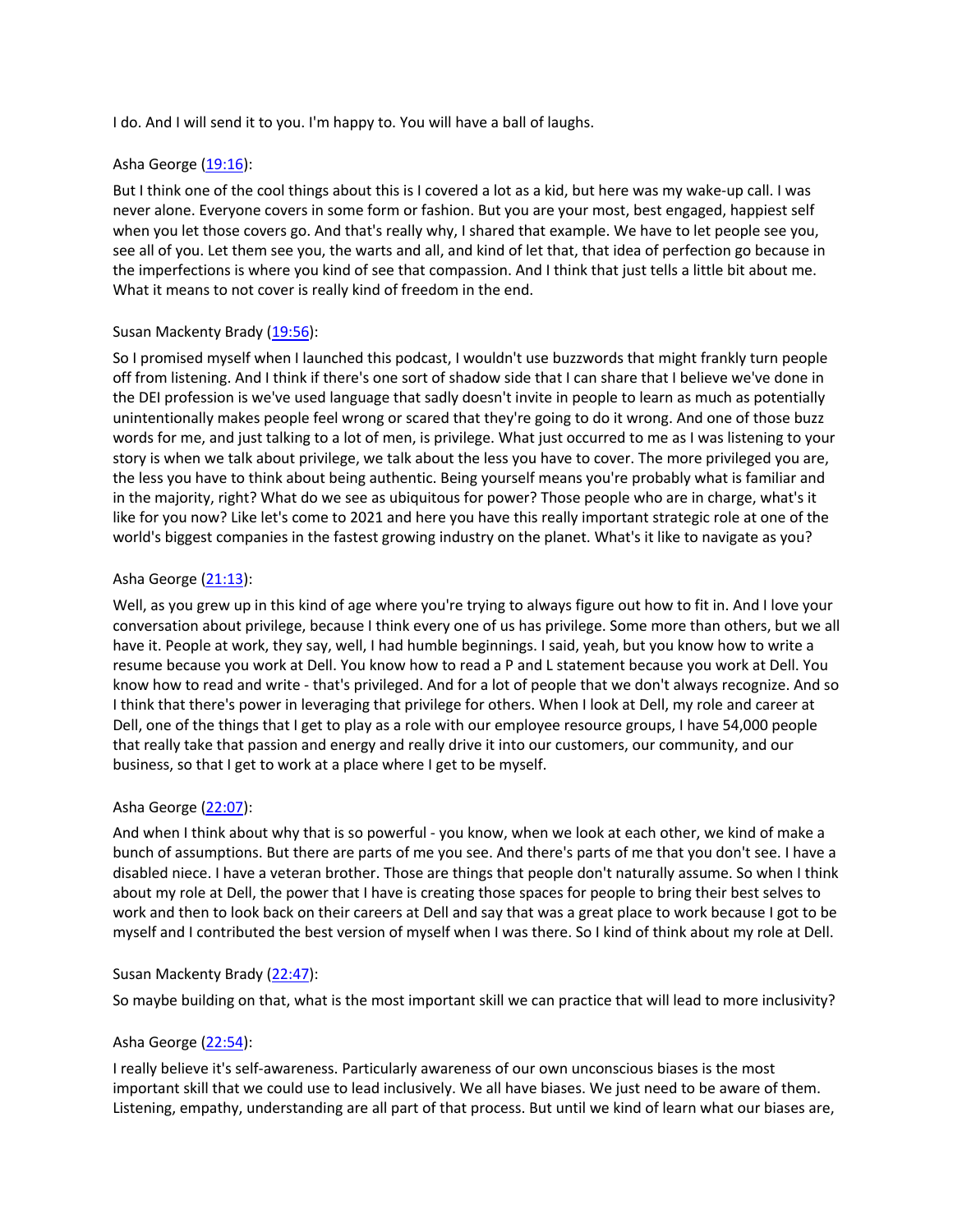I do. And I will send it to you. I'm happy to. You will have a ball of laughs.

## Asha George (19:16):

But I think one of the cool things about this is I covered a lot as a kid, but here was my wake-up call. I was never alone. Everyone covers in some form or fashion. But you are your most, best engaged, happiest self when you let those covers go. And that's really why, I shared that example. We have to let people see you, see all of you. Let them see you, the warts and all, and kind of let that, that idea of perfection go because in the imperfections is where you kind of see that compassion. And I think that just tells a little bit about me. What it means to not cover is really kind of freedom in the end.

## Susan Mackenty Brady (19:56):

So I promised myself when I launched this podcast, I wouldn't use buzzwords that might frankly turn people off from listening. And I think if there's one sort of shadow side that I can share that I believe we've done in the DEI profession is we've used language that sadly doesn't invite in people to learn as much as potentially unintentionally makes people feel wrong or scared that they're going to do it wrong. And one of those buzz words for me, and just talking to a lot of men, is privilege. What just occurred to me as I was listening to your story is when we talk about privilege, we talk about the less you have to cover. The more privileged you are, the less you have to think about being authentic. Being yourself means you're probably what is familiar and in the majority, right? What do we see as ubiquitous for power? Those people who are in charge, what's it like for you now? Like let's come to 2021 and here you have this really important strategic role at one of the world's biggest companies in the fastest growing industry on the planet. What's it like to navigate as you?

## Asha George (21:13):

Well, as you grew up in this kind of age where you're trying to always figure out how to fit in. And I love your conversation about privilege, because I think every one of us has privilege. Some more than others, but we all have it. People at work, they say, well, I had humble beginnings. I said, yeah, but you know how to write a resume because you work at Dell. You know how to read a P and L statement because you work at Dell. You know how to read and write - that's privileged. And for a lot of people that we don't always recognize. And so I think that there's power in leveraging that privilege for others. When I look at Dell, my role and career at Dell, one of the things that I get to play as a role with our employee resource groups, I have 54,000 people that really take that passion and energy and really drive it into our customers, our community, and our business, so that I get to work at a place where I get to be myself.

# Asha George (22:07):

And when I think about why that is so powerful - you know, when we look at each other, we kind of make a bunch of assumptions. But there are parts of me you see. And there's parts of me that you don't see. I have a disabled niece. I have a veteran brother. Those are things that people don't naturally assume. So when I think about my role at Dell, the power that I have is creating those spaces for people to bring their best selves to work and then to look back on their careers at Dell and say that was a great place to work because I got to be myself and I contributed the best version of myself when I was there. So I kind of think about my role at Dell.

#### Susan Mackenty Brady (22:47):

So maybe building on that, what is the most important skill we can practice that will lead to more inclusivity?

# Asha George (22:54):

I really believe it's self-awareness. Particularly awareness of our own unconscious biases is the most important skill that we could use to lead inclusively. We all have biases. We just need to be aware of them. Listening, empathy, understanding are all part of that process. But until we kind of learn what our biases are,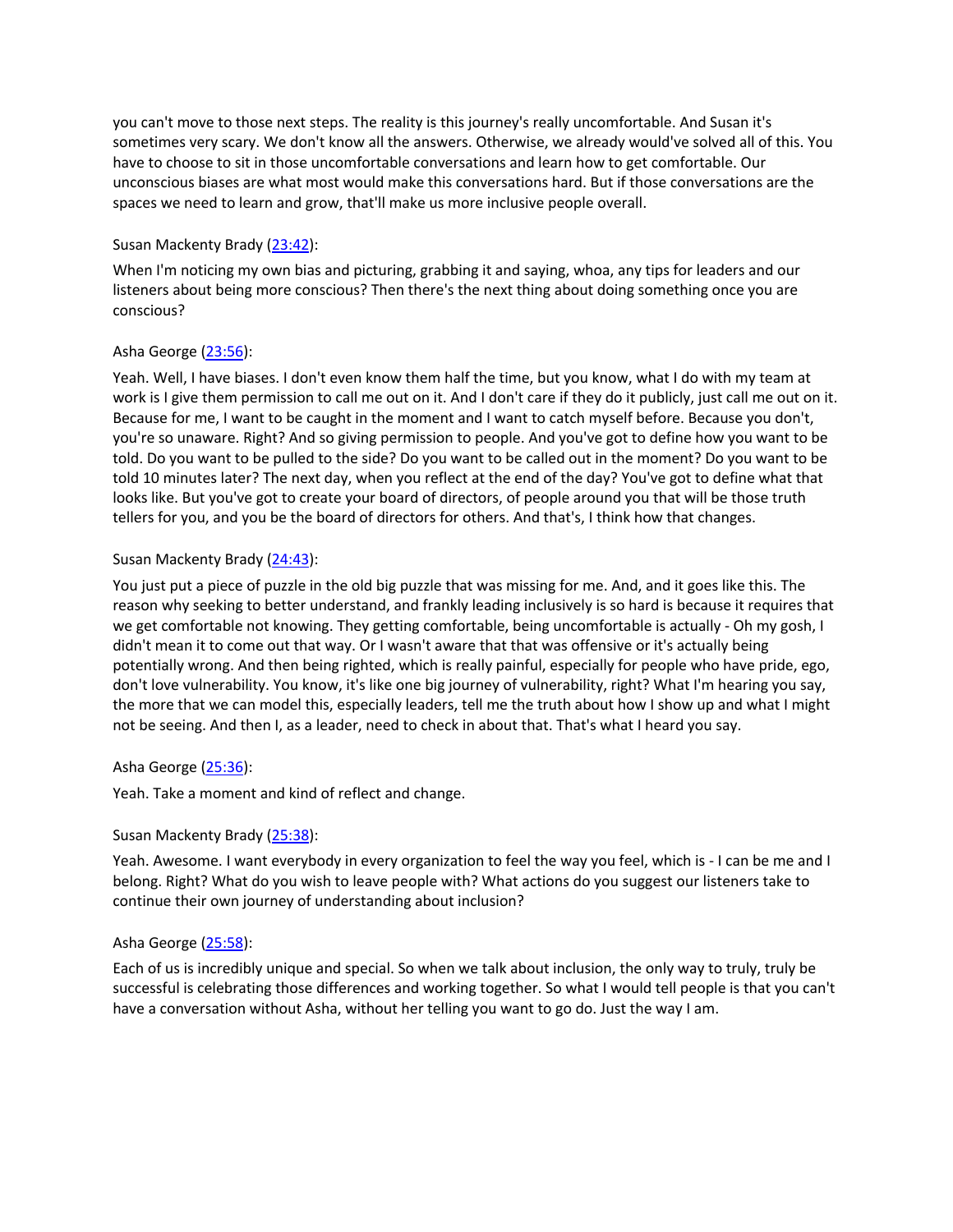you can't move to those next steps. The reality is this journey's really uncomfortable. And Susan it's sometimes very scary. We don't know all the answers. Otherwise, we already would've solved all of this. You have to choose to sit in those uncomfortable conversations and learn how to get comfortable. Our unconscious biases are what most would make this conversations hard. But if those conversations are the spaces we need to learn and grow, that'll make us more inclusive people overall.

## Susan Mackenty Brady (23:42):

When I'm noticing my own bias and picturing, grabbing it and saying, whoa, any tips for leaders and our listeners about being more conscious? Then there's the next thing about doing something once you are conscious?

## Asha George (23:56):

Yeah. Well, I have biases. I don't even know them half the time, but you know, what I do with my team at work is I give them permission to call me out on it. And I don't care if they do it publicly, just call me out on it. Because for me, I want to be caught in the moment and I want to catch myself before. Because you don't, you're so unaware. Right? And so giving permission to people. And you've got to define how you want to be told. Do you want to be pulled to the side? Do you want to be called out in the moment? Do you want to be told 10 minutes later? The next day, when you reflect at the end of the day? You've got to define what that looks like. But you've got to create your board of directors, of people around you that will be those truth tellers for you, and you be the board of directors for others. And that's, I think how that changes.

## Susan Mackenty Brady (24:43):

You just put a piece of puzzle in the old big puzzle that was missing for me. And, and it goes like this. The reason why seeking to better understand, and frankly leading inclusively is so hard is because it requires that we get comfortable not knowing. They getting comfortable, being uncomfortable is actually - Oh my gosh, I didn't mean it to come out that way. Or I wasn't aware that that was offensive or it's actually being potentially wrong. And then being righted, which is really painful, especially for people who have pride, ego, don't love vulnerability. You know, it's like one big journey of vulnerability, right? What I'm hearing you say, the more that we can model this, especially leaders, tell me the truth about how I show up and what I might not be seeing. And then I, as a leader, need to check in about that. That's what I heard you say.

#### Asha George (25:36):

Yeah. Take a moment and kind of reflect and change.

#### Susan Mackenty Brady (25:38):

Yeah. Awesome. I want everybody in every organization to feel the way you feel, which is - I can be me and I belong. Right? What do you wish to leave people with? What actions do you suggest our listeners take to continue their own journey of understanding about inclusion?

#### Asha George (25:58):

Each of us is incredibly unique and special. So when we talk about inclusion, the only way to truly, truly be successful is celebrating those differences and working together. So what I would tell people is that you can't have a conversation without Asha, without her telling you want to go do. Just the way I am.